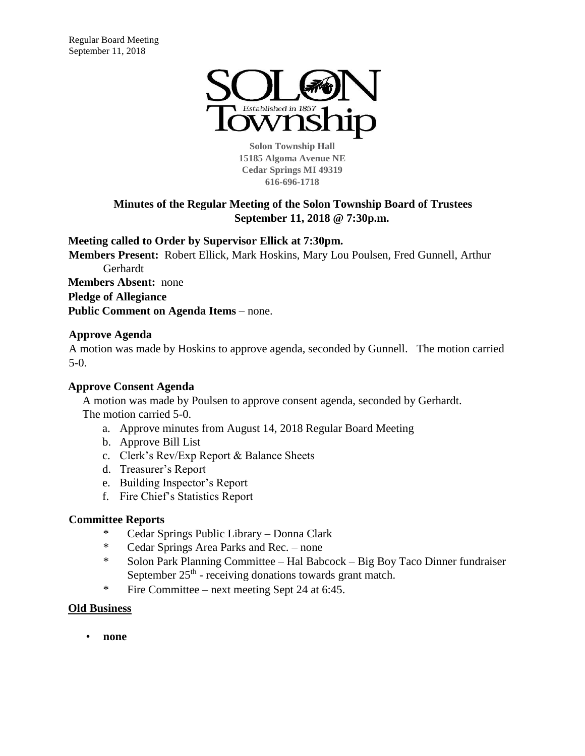

**Solon Township Hall 15185 Algoma Avenue NE Cedar Springs MI 49319 616-696-1718** 

# **Minutes of the Regular Meeting of the Solon Township Board of Trustees September 11, 2018 @ 7:30p.m.**

# **Meeting called to Order by Supervisor Ellick at 7:30pm.**

**Members Present:** Robert Ellick, Mark Hoskins, Mary Lou Poulsen, Fred Gunnell, Arthur Gerhardt **Members Absent:** none **Pledge of Allegiance Public Comment on Agenda Items** – none.

# **Approve Agenda**

A motion was made by Hoskins to approve agenda, seconded by Gunnell. The motion carried 5-0.

# **Approve Consent Agenda**

A motion was made by Poulsen to approve consent agenda, seconded by Gerhardt. The motion carried 5-0.

- a. Approve minutes from August 14, 2018 Regular Board Meeting
- b. Approve Bill List
- c. Clerk's Rev/Exp Report & Balance Sheets
- d. Treasurer's Report
- e. Building Inspector's Report
- f. Fire Chief's Statistics Report

### **Committee Reports**

- \* Cedar Springs Public Library Donna Clark
- \* Cedar Springs Area Parks and Rec. none
- \* Solon Park Planning Committee Hal Babcock Big Boy Taco Dinner fundraiser September  $25<sup>th</sup>$  - receiving donations towards grant match.
- \* Fire Committee next meeting Sept 24 at 6:45.

### **Old Business**

• **none**